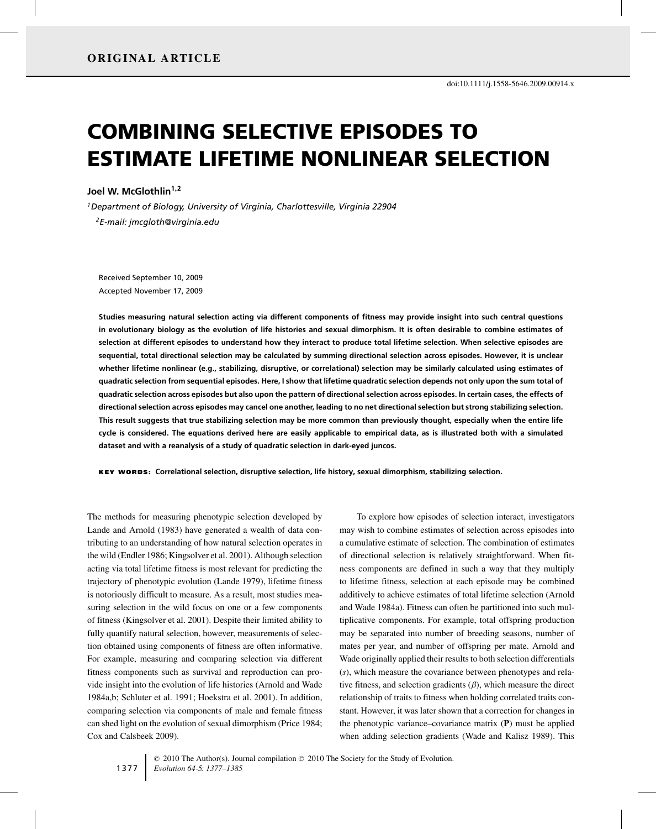# COMBINING SELECTIVE EPISODES TO ESTIMATE LIFETIME NONLINEAR SELECTION

**Joel W. McGlothlin1,<sup>2</sup>**

*1Department of Biology, University of Virginia, Charlottesville, Virginia 22904 2E-mail: jmcgloth@virginia.edu*

Received September 10, 2009 Accepted November 17, 2009

**Studies measuring natural selection acting via different components of fitness may provide insight into such central questions in evolutionary biology as the evolution of life histories and sexual dimorphism. It is often desirable to combine estimates of selection at different episodes to understand how they interact to produce total lifetime selection. When selective episodes are sequential, total directional selection may be calculated by summing directional selection across episodes. However, it is unclear whether lifetime nonlinear (e.g., stabilizing, disruptive, or correlational) selection may be similarly calculated using estimates of quadratic selection from sequential episodes. Here, I show that lifetime quadratic selection depends not only upon the sum total of quadratic selection across episodes but also upon the pattern of directional selection across episodes. In certain cases, the effects of directional selection across episodes may cancel one another, leading to no net directional selection but strong stabilizing selection. This result suggests that true stabilizing selection may be more common than previously thought, especially when the entire life cycle is considered. The equations derived here are easily applicable to empirical data, as is illustrated both with a simulated dataset and with a reanalysis of a study of quadratic selection in dark-eyed juncos.**

KEY WORDS: **Correlational selection, disruptive selection, life history, sexual dimorphism, stabilizing selection.**

The methods for measuring phenotypic selection developed by Lande and Arnold (1983) have generated a wealth of data contributing to an understanding of how natural selection operates in the wild (Endler 1986; Kingsolver et al. 2001). Although selection acting via total lifetime fitness is most relevant for predicting the trajectory of phenotypic evolution (Lande 1979), lifetime fitness is notoriously difficult to measure. As a result, most studies measuring selection in the wild focus on one or a few components of fitness (Kingsolver et al. 2001). Despite their limited ability to fully quantify natural selection, however, measurements of selection obtained using components of fitness are often informative. For example, measuring and comparing selection via different fitness components such as survival and reproduction can provide insight into the evolution of life histories (Arnold and Wade 1984a,b; Schluter et al. 1991; Hoekstra et al. 2001). In addition, comparing selection via components of male and female fitness can shed light on the evolution of sexual dimorphism (Price 1984; Cox and Calsbeek 2009).

To explore how episodes of selection interact, investigators may wish to combine estimates of selection across episodes into a cumulative estimate of selection. The combination of estimates of directional selection is relatively straightforward. When fitness components are defined in such a way that they multiply to lifetime fitness, selection at each episode may be combined additively to achieve estimates of total lifetime selection (Arnold and Wade 1984a). Fitness can often be partitioned into such multiplicative components. For example, total offspring production may be separated into number of breeding seasons, number of mates per year, and number of offspring per mate. Arnold and Wade originally applied their results to both selection differentials (*s*), which measure the covariance between phenotypes and relative fitness, and selection gradients  $(\beta)$ , which measure the direct relationship of traits to fitness when holding correlated traits constant. However, it was later shown that a correction for changes in the phenotypic variance–covariance matrix (**P**) must be applied when adding selection gradients (Wade and Kalisz 1989). This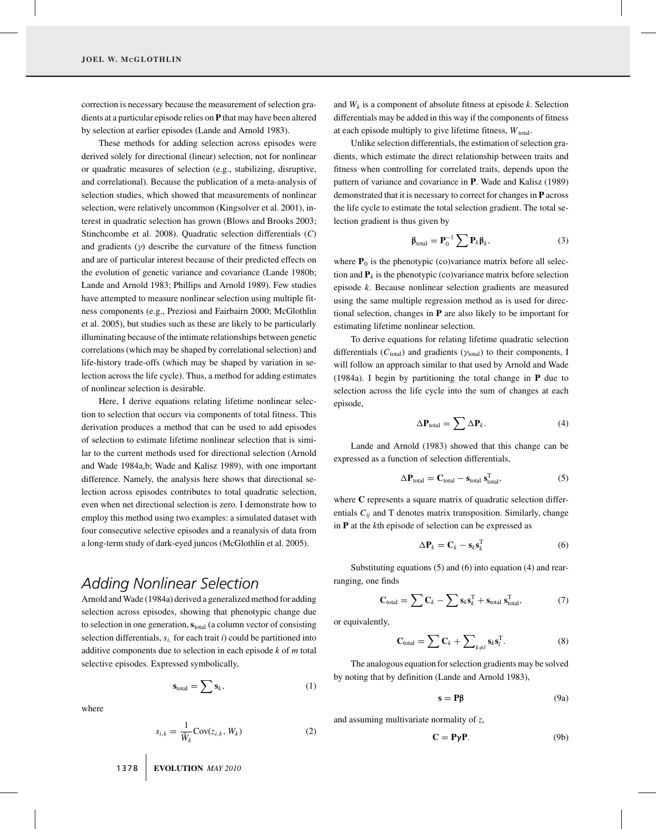correction is necessary because the measurement of selection gradients at a particular episode relies on **P** that may have been altered by selection at earlier episodes (Lande and Arnold 1983).

These methods for adding selection across episodes were derived solely for directional (linear) selection, not for nonlinear or quadratic measures of selection (e.g., stabilizing, disruptive, and correlational). Because the publication of a meta-analysis of selection studies, which showed that measurements of nonlinear selection, were relatively uncommon (Kingsolver et al. 2001), interest in quadratic selection has grown (Blows and Brooks 2003; Stinchcombe et al. 2008). Quadratic selection differentials (*C*) and gradients  $(y)$  describe the curvature of the fitness function and are of particular interest because of their predicted effects on the evolution of genetic variance and covariance (Lande 1980b; Lande and Arnold 1983; Phillips and Arnold 1989). Few studies have attempted to measure nonlinear selection using multiple fitness components (e.g., Preziosi and Fairbairn 2000; McGlothlin et al. 2005), but studies such as these are likely to be particularly illuminating because of the intimate relationships between genetic correlations (which may be shaped by correlational selection) and life-history trade-offs (which may be shaped by variation in selection across the life cycle). Thus, a method for adding estimates of nonlinear selection is desirable.

Here, I derive equations relating lifetime nonlinear selection to selection that occurs via components of total fitness. This derivation produces a method that can be used to add episodes of selection to estimate lifetime nonlinear selection that is similar to the current methods used for directional selection (Arnold and Wade 1984a,b; Wade and Kalisz 1989), with one important difference. Namely, the analysis here shows that directional selection across episodes contributes to total quadratic selection, even when net directional selection is zero. I demonstrate how to employ this method using two examples: a simulated dataset with four consecutive selective episodes and a reanalysis of data from a long-term study of dark-eyed juncos (McGlothlin et al. 2005).

### *Adding Nonlinear Selection*

Arnold and Wade (1984a) derived a generalized method for adding selection across episodes, showing that phenotypic change due to selection in one generation,  $s_{total}$  (a column vector of consisting selection differentials,  $s_i$ , for each trait  $i$ ) could be partitioned into additive components due to selection in each episode *k* of *m* total selective episodes. Expressed symbolically,

$$
\mathbf{s}_{\text{total}} = \sum \mathbf{s}_k,\tag{1}
$$

where

$$
s_{i,k} = \frac{1}{\bar{W}_k} \text{Cov}(z_{i,k}, W_k)
$$
 (2)

and  $W_k$  is a component of absolute fitness at episode  $k$ . Selection differentials may be added in this way if the components of fitness at each episode multiply to give lifetime fitness,  $W_{total}$ .

Unlike selection differentials, the estimation of selection gradients, which estimate the direct relationship between traits and fitness when controlling for correlated traits, depends upon the pattern of variance and covariance in **P**. Wade and Kalisz (1989) demonstrated that it is necessary to correct for changes in **P** across the life cycle to estimate the total selection gradient. The total selection gradient is thus given by

$$
\beta_{\text{total}} = \mathbf{P}_0^{-1} \sum \mathbf{P}_k \beta_k, \tag{3}
$$

where  $P_0$  is the phenotypic (co)variance matrix before all selection and  $P_k$  is the phenotypic (co)variance matrix before selection episode *k*. Because nonlinear selection gradients are measured using the same multiple regression method as is used for directional selection, changes in **P** are also likely to be important for estimating lifetime nonlinear selection.

To derive equations for relating lifetime quadratic selection differentials ( $C_{total}$ ) and gradients ( $\gamma_{total}$ ) to their components, I will follow an approach similar to that used by Arnold and Wade (1984a). I begin by partitioning the total change in **P** due to selection across the life cycle into the sum of changes at each episode,

$$
\Delta \mathbf{P}_{\text{total}} = \sum \Delta \mathbf{P}_k. \tag{4}
$$

Lande and Arnold (1983) showed that this change can be expressed as a function of selection differentials,

$$
\Delta \mathbf{P}_{\text{total}} = \mathbf{C}_{\text{total}} - \mathbf{s}_{\text{total}} \mathbf{s}_{\text{total}}^{\text{T}}, \tag{5}
$$

where **C** represents a square matrix of quadratic selection differentials  $C_{ij}$  and T denotes matrix transposition. Similarly, change in **P** at the *k*th episode of selection can be expressed as

$$
\Delta \mathbf{P}_k = \mathbf{C}_k - \mathbf{s}_k \mathbf{s}_k^{\mathrm{T}} \tag{6}
$$

Substituting equations (5) and (6) into equation (4) and rearranging, one finds

$$
\mathbf{C}_{\text{total}} = \sum \mathbf{C}_k - \sum \mathbf{s}_k \mathbf{s}_k^{\text{T}} + \mathbf{s}_{\text{total}} \mathbf{s}_{\text{total}}^{\text{T}}, \tag{7}
$$

or equivalently,

$$
\mathbf{C}_{\text{total}} = \sum \mathbf{C}_k + \sum\nolimits_{k \neq l} \mathbf{s}_k \mathbf{s}_l^{\text{T}}.
$$
 (8)

The analogous equation for selection gradients may be solved by noting that by definition (Lande and Arnold 1983),

$$
\mathbf{s} = \mathbf{P}\mathbf{\beta} \tag{9a}
$$

and assuming multivariate normality of *z*,

$$
C = P\gamma P. \tag{9b}
$$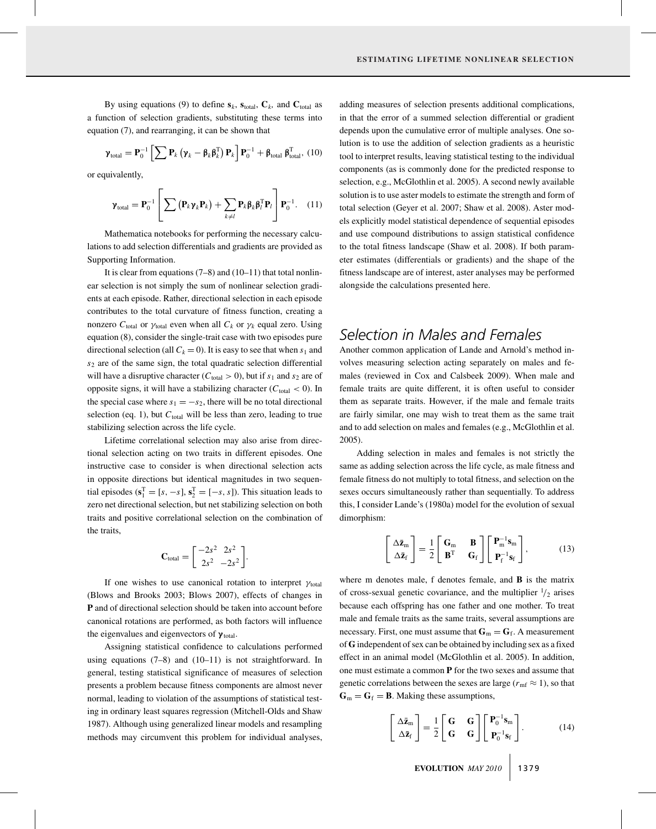By using equations (9) to define  $s_k$ ,  $s_{total}$ ,  $C_k$ , and  $C_{total}$  as a function of selection gradients, substituting these terms into equation (7), and rearranging, it can be shown that

$$
\boldsymbol{\gamma}_{\text{total}} = \mathbf{P}_0^{-1} \left[ \sum \mathbf{P}_k \left( \boldsymbol{\gamma}_k - \boldsymbol{\beta}_k \boldsymbol{\beta}_k^{\text{T}} \right) \mathbf{P}_k \right] \mathbf{P}_0^{-1} + \boldsymbol{\beta}_{\text{total}} \boldsymbol{\beta}_{\text{total}}^{\text{T}}, \ (10)
$$

or equivalently,

$$
\boldsymbol{\gamma}_{\text{total}} = \mathbf{P}_0^{-1} \left[ \sum \left( \mathbf{P}_k \boldsymbol{\gamma}_k \mathbf{P}_k \right) + \sum_{k \neq l} \mathbf{P}_k \boldsymbol{\beta}_k \boldsymbol{\beta}_l^{\text{T}} \mathbf{P}_l \right] \mathbf{P}_0^{-1}.
$$
 (11)

Mathematica notebooks for performing the necessary calculations to add selection differentials and gradients are provided as Supporting Information.

It is clear from equations  $(7–8)$  and  $(10–11)$  that total nonlinear selection is not simply the sum of nonlinear selection gradients at each episode. Rather, directional selection in each episode contributes to the total curvature of fitness function, creating a nonzero  $C_{total}$  or  $\gamma_{total}$  even when all  $C_k$  or  $\gamma_k$  equal zero. Using equation (8), consider the single-trait case with two episodes pure directional selection (all  $C_k = 0$ ). It is easy to see that when  $s_1$  and *s*<sup>2</sup> are of the same sign, the total quadratic selection differential will have a disruptive character ( $C_{\text{total}} > 0$ ), but if  $s_1$  and  $s_2$  are of opposite signs, it will have a stabilizing character  $(C_{total} < 0)$ . In the special case where  $s_1 = -s_2$ , there will be no total directional selection (eq. 1), but  $C_{total}$  will be less than zero, leading to true stabilizing selection across the life cycle.

Lifetime correlational selection may also arise from directional selection acting on two traits in different episodes. One instructive case to consider is when directional selection acts in opposite directions but identical magnitudes in two sequential episodes  $(s_1^T = [s, -s], s_2^T = [-s, s])$ . This situation leads to zero net directional selection, but net stabilizing selection on both traits and positive correlational selection on the combination of the traits,

$$
\mathbf{C}_{\text{total}} = \begin{bmatrix} -2s^2 & 2s^2 \\ 2s^2 & -2s^2 \end{bmatrix}.
$$

If one wishes to use canonical rotation to interpret  $\gamma_{\text{total}}$ (Blows and Brooks 2003; Blows 2007), effects of changes in **P** and of directional selection should be taken into account before canonical rotations are performed, as both factors will influence the eigenvalues and eigenvectors of  $\gamma_{\text{total}}$ .

Assigning statistical confidence to calculations performed using equations  $(7-8)$  and  $(10-11)$  is not straightforward. In general, testing statistical significance of measures of selection presents a problem because fitness components are almost never normal, leading to violation of the assumptions of statistical testing in ordinary least squares regression (Mitchell-Olds and Shaw 1987). Although using generalized linear models and resampling methods may circumvent this problem for individual analyses,

adding measures of selection presents additional complications, in that the error of a summed selection differential or gradient depends upon the cumulative error of multiple analyses. One solution is to use the addition of selection gradients as a heuristic tool to interpret results, leaving statistical testing to the individual components (as is commonly done for the predicted response to selection, e.g., McGlothlin et al. 2005). A second newly available solution is to use aster models to estimate the strength and form of total selection (Geyer et al. 2007; Shaw et al. 2008). Aster models explicitly model statistical dependence of sequential episodes and use compound distributions to assign statistical confidence to the total fitness landscape (Shaw et al. 2008). If both parameter estimates (differentials or gradients) and the shape of the fitness landscape are of interest, aster analyses may be performed alongside the calculations presented here.

### *Selection in Males and Females*

Another common application of Lande and Arnold's method involves measuring selection acting separately on males and females (reviewed in Cox and Calsbeek 2009). When male and female traits are quite different, it is often useful to consider them as separate traits. However, if the male and female traits are fairly similar, one may wish to treat them as the same trait and to add selection on males and females (e.g., McGlothlin et al. 2005).

Adding selection in males and females is not strictly the same as adding selection across the life cycle, as male fitness and female fitness do not multiply to total fitness, and selection on the sexes occurs simultaneously rather than sequentially. To address this, I consider Lande's (1980a) model for the evolution of sexual dimorphism:

$$
\begin{bmatrix} \Delta \bar{\mathbf{z}}_{\rm m} \\ \Delta \bar{\mathbf{z}}_{\rm f} \end{bmatrix} = \frac{1}{2} \begin{bmatrix} \mathbf{G}_{\rm m} & \mathbf{B} \\ \mathbf{B}^{\rm T} & \mathbf{G}_{\rm f} \end{bmatrix} \begin{bmatrix} \mathbf{P}_{\rm m}^{-1} \mathbf{s}_{\rm m} \\ \mathbf{P}_{\rm f}^{-1} \mathbf{s}_{\rm f} \end{bmatrix},\tag{13}
$$

where m denotes male, f denotes female, and **B** is the matrix of cross-sexual genetic covariance, and the multiplier  $\frac{1}{2}$  arises because each offspring has one father and one mother. To treat male and female traits as the same traits, several assumptions are necessary. First, one must assume that  $G_m = G_f$ . A measurement of **G** independent of sex can be obtained by including sex as a fixed effect in an animal model (McGlothlin et al. 2005). In addition, one must estimate a common **P** for the two sexes and assume that genetic correlations between the sexes are large ( $r_{\rm mf} \approx 1$ ), so that  $G_m = G_f = B$ . Making these assumptions,

$$
\begin{bmatrix} \Delta \bar{\mathbf{z}}_{\rm m} \\ \Delta \bar{\mathbf{z}}_{\rm f} \end{bmatrix} = \frac{1}{2} \begin{bmatrix} \mathbf{G} & \mathbf{G} \\ \mathbf{G} & \mathbf{G} \end{bmatrix} \begin{bmatrix} \mathbf{P}_0^{-1} \mathbf{s}_{\rm m} \\ \mathbf{P}_0^{-1} \mathbf{s}_{\rm f} \end{bmatrix} . \tag{14}
$$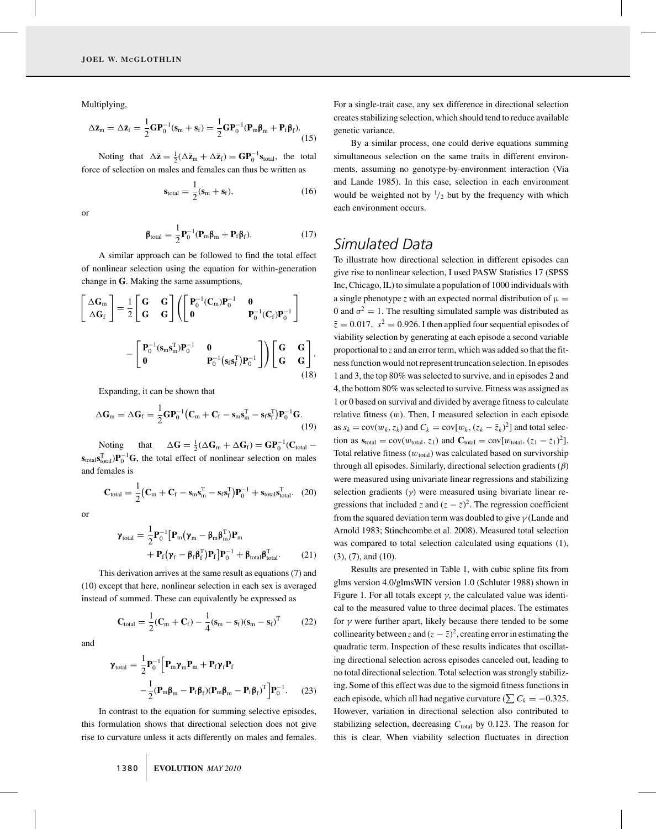Multiplying,

$$
\Delta \bar{\mathbf{z}}_m = \Delta \bar{\mathbf{z}}_f = \frac{1}{2} \mathbf{G} \mathbf{P}_0^{-1} (\mathbf{s}_m + \mathbf{s}_f) = \frac{1}{2} \mathbf{G} \mathbf{P}_0^{-1} (\mathbf{P}_m \boldsymbol{\beta}_m + \mathbf{P}_f \boldsymbol{\beta}_f).
$$
\n(15)

Noting that  $\Delta \bar{z} = \frac{1}{2} (\Delta \bar{z}_{m} + \Delta \bar{z}_{f}) = \mathbf{G} \mathbf{P}_{0}^{-1} \mathbf{s}_{\text{total}}$ , the total force of selection on males and females can thus be written as

$$
\mathbf{s}_{\text{total}} = \frac{1}{2} (\mathbf{s}_{\text{m}} + \mathbf{s}_{\text{f}}), \tag{16}
$$

or

$$
\beta_{\text{total}} = \frac{1}{2} \mathbf{P}_0^{-1} (\mathbf{P}_m \beta_m + \mathbf{P}_f \beta_f).
$$
 (17)

A similar approach can be followed to find the total effect of nonlinear selection using the equation for within-generation change in **G**. Making the same assumptions,

$$
\begin{bmatrix}\n\Delta \mathbf{G}_{\mathrm{m}} \\
\Delta \mathbf{G}_{\mathrm{f}}\n\end{bmatrix} = \frac{1}{2} \begin{bmatrix}\n\mathbf{G} & \mathbf{G} \\
\mathbf{G} & \mathbf{G}\n\end{bmatrix} \left( \begin{bmatrix}\n\mathbf{P}_{0}^{-1}(\mathbf{C}_{\mathrm{m}})\mathbf{P}_{0}^{-1} & \mathbf{0} \\
\mathbf{0} & \mathbf{P}_{0}^{-1}(\mathbf{C}_{\mathrm{f}})\mathbf{P}_{0}^{-1}\n\end{bmatrix} - \begin{bmatrix}\n\mathbf{P}_{0}^{-1}(\mathbf{s}_{\mathrm{m}}\mathbf{s}_{\mathrm{m}}^{\mathrm{T}})\mathbf{P}_{0}^{-1} & \mathbf{0} \\
\mathbf{0} & \mathbf{P}_{0}^{-1}(\mathbf{s}_{\mathrm{f}}\mathbf{s}_{\mathrm{f}}^{\mathrm{T}})\mathbf{P}_{0}^{-1}\n\end{bmatrix} \right) \begin{bmatrix}\n\mathbf{G} & \mathbf{G} \\
\mathbf{G} & \mathbf{G}\n\end{bmatrix}.
$$
\n(18)

Expanding, it can be shown that

$$
\Delta \mathbf{G}_{\mathrm{m}} = \Delta \mathbf{G}_{\mathrm{f}} = \frac{1}{2} \mathbf{G} \mathbf{P}_{0}^{-1} \big( \mathbf{C}_{\mathrm{m}} + \mathbf{C}_{\mathrm{f}} - \mathbf{s}_{\mathrm{m}} \mathbf{s}_{\mathrm{m}}^{T} - \mathbf{s}_{\mathrm{f}} \mathbf{s}_{\mathrm{f}}^{T} \big) \mathbf{P}_{0}^{-1} \mathbf{G}.
$$
\n(19)

Noting that  $\Delta G = \frac{1}{2} (\Delta G_m + \Delta G_f) = GP_0^{-1} (C_{\text{total}} \mathbf{s}_{total} \mathbf{s}_{total}^{\mathrm{T}} \mathbf{p}_{0}^{-1} \mathbf{G}$ , the total effect of nonlinear selection on males and females is

$$
\mathbf{C}_{\text{total}} = \frac{1}{2} \left( \mathbf{C}_{\text{m}} + \mathbf{C}_{\text{f}} - \mathbf{s}_{\text{m}} \mathbf{s}_{\text{m}}^{\text{T}} - \mathbf{s}_{\text{f}} \mathbf{s}_{\text{f}}^{\text{T}} \right) \mathbf{P}_{0}^{-1} + \mathbf{s}_{\text{total}} \mathbf{s}_{\text{total}}^{\text{T}}.
$$
 (20)

or

$$
\mathbf{\gamma}_{\text{total}} = \frac{1}{2} \mathbf{P}_0^{-1} \left[ \mathbf{P}_{m} (\mathbf{\gamma}_m - \mathbf{\beta}_m \mathbf{\beta}_m^{\text{T}}) \mathbf{P}_{m} + \mathbf{P}_{f} (\mathbf{\gamma}_f - \mathbf{\beta}_f \mathbf{\beta}_f^{\text{T}}) \mathbf{P}_{f} \right] \mathbf{P}_0^{-1} + \mathbf{\beta}_{\text{total}} \mathbf{\beta}_{\text{total}}^{\text{T}}.
$$
 (21)

This derivation arrives at the same result as equations (7) and (10) except that here, nonlinear selection in each sex is averaged instead of summed. These can equivalently be expressed as

$$
\mathbf{C}_{\text{total}} = \frac{1}{2}(\mathbf{C}_{\text{m}} + \mathbf{C}_{\text{f}}) - \frac{1}{4}(\mathbf{s}_{\text{m}} - \mathbf{s}_{\text{f}})(\mathbf{s}_{\text{m}} - \mathbf{s}_{\text{f}})^{\text{T}}
$$
(22)

and

$$
\mathbf{\gamma}_{\text{total}} = \frac{1}{2} \mathbf{P}_0^{-1} \Big[ \mathbf{P}_m \mathbf{\gamma}_m \mathbf{P}_m + \mathbf{P}_f \mathbf{\gamma}_f \mathbf{P}_f
$$

$$
- \frac{1}{2} (\mathbf{P}_m \boldsymbol{\beta}_m - \mathbf{P}_f \boldsymbol{\beta}_f) (\mathbf{P}_m \boldsymbol{\beta}_m - \mathbf{P}_f \boldsymbol{\beta}_f)^T \Big] \mathbf{P}_0^{-1}. \tag{23}
$$

In contrast to the equation for summing selective episodes, this formulation shows that directional selection does not give rise to curvature unless it acts differently on males and females.

1380 **EVOLUTION** *MAY 2010*

For a single-trait case, any sex difference in directional selection creates stabilizing selection, which should tend to reduce available genetic variance.

By a similar process, one could derive equations summing simultaneous selection on the same traits in different environments, assuming no genotype-by-environment interaction (Via and Lande 1985). In this case, selection in each environment would be weighted not by  $\frac{1}{2}$  but by the frequency with which each environment occurs.

### *Simulated Data*

To illustrate how directional selection in different episodes can give rise to nonlinear selection, I used PASW Statistics 17 (SPSS Inc, Chicago, IL) to simulate a population of 1000 individuals with a single phenotype *z* with an expected normal distribution of  $\mu$  = 0 and  $\sigma^2 = 1$ . The resulting simulated sample was distributed as  $\bar{z}=0.017$ ,  $s^2=0.926$ . I then applied four sequential episodes of viability selection by generating at each episode a second variable proportional to *z* and an error term, which was added so that the fitness function would not represent truncation selection. In episodes 1 and 3, the top 80% was selected to survive, and in episodes 2 and 4, the bottom 80% was selected to survive. Fitness was assigned as 1 or 0 based on survival and divided by average fitness to calculate relative fitness  $(w)$ . Then, I measured selection in each episode as  $s_k = \text{cov}(w_k, z_k)$  and  $C_k = \text{cov}[w_k, (z_k - \bar{z}_k)^2]$  and total selection as  $\mathbf{s}_{\text{total}} = \text{cov}(w_{\text{total}}, z_1)$  and  $\mathbf{C}_{\text{total}} = \text{cov}[w_{\text{total}}, (z_1 - \bar{z}_1)^2]$ . Total relative fitness ( $w_{total}$ ) was calculated based on survivorship through all episodes. Similarly, directional selection gradients  $(\beta)$ were measured using univariate linear regressions and stabilizing selection gradients  $(y)$  were measured using bivariate linear regressions that included *z* and  $(z - \overline{z})^2$ . The regression coefficient from the squared deviation term was doubled to give  $\gamma$  (Lande and Arnold 1983; Stinchcombe et al. 2008). Measured total selection was compared to total selection calculated using equations (1), (3), (7), and (10).

Results are presented in Table 1, with cubic spline fits from glms version 4.0/glmsWIN version 1.0 (Schluter 1988) shown in Figure 1. For all totals except  $\gamma$ , the calculated value was identical to the measured value to three decimal places. The estimates for  $\gamma$  were further apart, likely because there tended to be some collinearity between *z* and  $(z - \bar{z})^2$ , creating error in estimating the quadratic term. Inspection of these results indicates that oscillating directional selection across episodes canceled out, leading to no total directional selection. Total selection was strongly stabilizing. Some of this effect was due to the sigmoid fitness functions in each episode, which all had negative curvature ( $\sum C_k = -0.325$ . However, variation in directional selection also contributed to stabilizing selection, decreasing  $C_{total}$  by 0.123. The reason for this is clear. When viability selection fluctuates in direction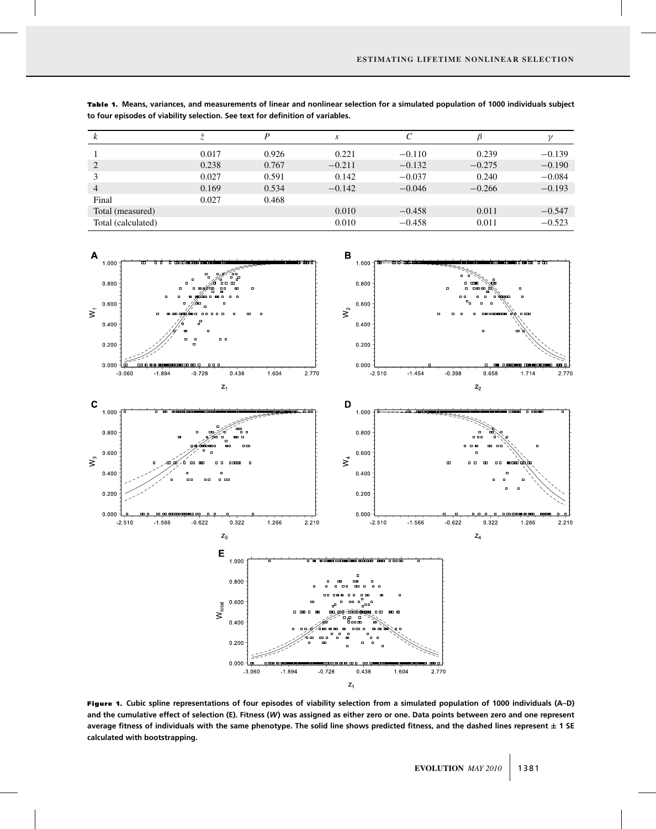| ĸ                  |       | D     | S        |          |          |          |
|--------------------|-------|-------|----------|----------|----------|----------|
|                    | 0.017 | 0.926 | 0.221    | $-0.110$ | 0.239    | $-0.139$ |
| 2                  | 0.238 | 0.767 | $-0.211$ | $-0.132$ | $-0.275$ | $-0.190$ |
|                    | 0.027 | 0.591 | 0.142    | $-0.037$ | 0.240    | $-0.084$ |
| $\overline{4}$     | 0.169 | 0.534 | $-0.142$ | $-0.046$ | $-0.266$ | $-0.193$ |
| Final              | 0.027 | 0.468 |          |          |          |          |
| Total (measured)   |       |       | 0.010    | $-0.458$ | 0.011    | $-0.547$ |
| Total (calculated) |       |       | 0.010    | $-0.458$ | 0.011    | $-0.523$ |

Table 1. Means, variances, and measurements of linear and nonlinear selection for a simulated population of 1000 individuals subject **to four episodes of viability selection. See text for definition of variables.**



Figure 1. **Cubic spline representations of four episodes of viability selection from a simulated population of 1000 individuals (A–D) and the cumulative effect of selection (E). Fitness (***W***) was assigned as either zero or one. Data points between zero and one represent average fitness of individuals with the same phenotype. The solid line shows predicted fitness, and the dashed lines represent ± 1 SE calculated with bootstrapping.**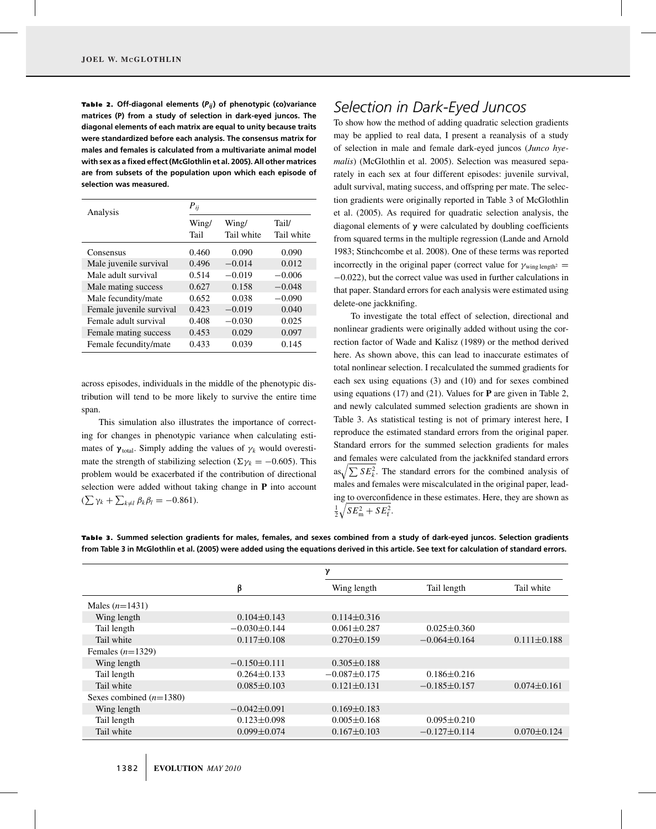Table 2. Off-diagonal elements (P<sub>ij</sub>) of phenotypic (co)variance **matrices (P) from a study of selection in dark-eyed juncos. The diagonal elements of each matrix are equal to unity because traits were standardized before each analysis. The consensus matrix for males and females is calculated from a multivariate animal model with sex as a fixed effect (McGlothlin et al. 2005). All other matrices are from subsets of the population upon which each episode of selection was measured.**

| Analysis                 | $P_{ij}$      |                     |                     |  |
|--------------------------|---------------|---------------------|---------------------|--|
|                          | Wing/<br>Tail | Wing/<br>Tail white | Tail/<br>Tail white |  |
| Consensus                | 0.460         | 0.090               | 0.090               |  |
| Male juvenile survival   | 0.496         | $-0.014$            | 0.012               |  |
| Male adult survival      | 0.514         | $-0.019$            | $-0.006$            |  |
| Male mating success      | 0.627         | 0.158               | $-0.048$            |  |
| Male fecundity/mate      | 0.652         | 0.038               | $-0.090$            |  |
| Female juvenile survival | 0.423         | $-0.019$            | 0.040               |  |
| Female adult survival    | 0.408         | $-0.030$            | 0.025               |  |
| Female mating success    | 0.453         | 0.029               | 0.097               |  |
| Female fecundity/mate    | 0.433         | 0.039               | 0.145               |  |

across episodes, individuals in the middle of the phenotypic distribution will tend to be more likely to survive the entire time span.

This simulation also illustrates the importance of correcting for changes in phenotypic variance when calculating estimates of  $\gamma_{\text{total}}$ . Simply adding the values of  $\gamma_k$  would overestimate the strength of stabilizing selection ( $\Sigma \gamma_k = -0.605$ ). This problem would be exacerbated if the contribution of directional selection were added without taking change in **P** into account  $(\sum \gamma_k + \sum_{k \neq l} \beta_k \beta_l = -0.861).$ 

### *Selection in Dark-Eyed Juncos*

To show how the method of adding quadratic selection gradients may be applied to real data, I present a reanalysis of a study of selection in male and female dark-eyed juncos (*Junco hyemalis*) (McGlothlin et al. 2005). Selection was measured separately in each sex at four different episodes: juvenile survival, adult survival, mating success, and offspring per mate. The selection gradients were originally reported in Table 3 of McGlothlin et al. (2005). As required for quadratic selection analysis, the diagonal elements of **γ** were calculated by doubling coefficients from squared terms in the multiple regression (Lande and Arnold 1983; Stinchcombe et al. 2008). One of these terms was reported incorrectly in the original paper (correct value for  $\gamma_{\text{wing length}^2}$  = −0.022), but the correct value was used in further calculations in that paper. Standard errors for each analysis were estimated using delete-one jackknifing.

To investigate the total effect of selection, directional and nonlinear gradients were originally added without using the correction factor of Wade and Kalisz (1989) or the method derived here. As shown above, this can lead to inaccurate estimates of total nonlinear selection. I recalculated the summed gradients for each sex using equations (3) and (10) and for sexes combined using equations (17) and (21). Values for **P** are given in Table 2, and newly calculated summed selection gradients are shown in Table 3. As statistical testing is not of primary interest here, I reproduce the estimated standard errors from the original paper. Standard errors for the summed selection gradients for males and females were calculated from the jackknifed standard errors  $\int \sum SE_k^2$ . The standard errors for the combined analysis of males and females were miscalculated in the original paper, leading to overconfidence in these estimates. Here, they are shown as  $\frac{1}{2}\sqrt{SE_{\rm m}^2 + SE_{\rm f}^2}.$ 

Table 3. Summed selection gradients for males, females, and sexes combined from a study of dark-eyed juncos. Selection gradients **from Table 3 in McGlothlin et al. (2005) were added using the equations derived in this article. See text for calculation of standard errors.**

|                           |                    | γ                 |                    |                   |
|---------------------------|--------------------|-------------------|--------------------|-------------------|
|                           | β                  | Wing length       | Tail length        | Tail white        |
| Males $(n=1431)$          |                    |                   |                    |                   |
| Wing length               | $0.104 \pm 0.143$  | $0.114 \pm 0.316$ |                    |                   |
| Tail length               | $-0.030\pm0.144$   | $0.061 \pm 0.287$ | $0.025 \pm 0.360$  |                   |
| Tail white                | $0.117 \pm 0.108$  | $0.270 \pm 0.159$ | $-0.064\pm0.164$   | $0.111 \pm 0.188$ |
| Females $(n=1329)$        |                    |                   |                    |                   |
| Wing length               | $-0.150\pm0.111$   | $0.305 \pm 0.188$ |                    |                   |
| Tail length               | $0.264 \pm 0.133$  | $-0.087\pm0.175$  | $0.186 \pm 0.216$  |                   |
| Tail white                | $0.085 \pm 0.103$  | $0.121 \pm 0.131$ | $-0.185 \pm 0.157$ | $0.074 \pm 0.161$ |
| Sexes combined $(n=1380)$ |                    |                   |                    |                   |
| Wing length               | $-0.042 \pm 0.091$ | $0.169 \pm 0.183$ |                    |                   |
| Tail length               | $0.123 \pm 0.098$  | $0.005 \pm 0.168$ | $0.095 \pm 0.210$  |                   |
| Tail white                | $0.099 \pm 0.074$  | $0.167 \pm 0.103$ | $-0.127\pm0.114$   | $0.070 \pm 0.124$ |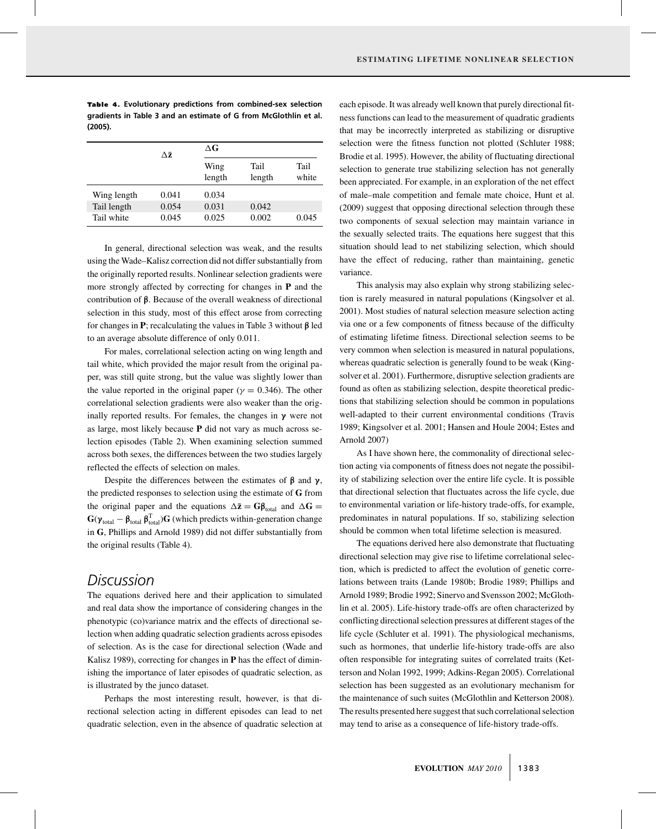Table 4. Evolutionary predictions from combined-sex selection **gradients in Table 3 and an estimate of G from McGlothlin et al. (2005).**

|             | Δž    | $\Delta G$     |                |               |
|-------------|-------|----------------|----------------|---------------|
|             |       | Wing<br>length | Tail<br>length | Tail<br>white |
|             |       |                |                |               |
| Wing length | 0.041 | 0.034          |                |               |
| Tail length | 0.054 | 0.031          | 0.042          |               |
| Tail white  | 0.045 | 0.025          | 0.002          | 0.045         |
|             |       |                |                |               |

In general, directional selection was weak, and the results using the Wade–Kalisz correction did not differ substantially from the originally reported results. Nonlinear selection gradients were more strongly affected by correcting for changes in **P** and the contribution of **β**. Because of the overall weakness of directional selection in this study, most of this effect arose from correcting for changes in **P**; recalculating the values in Table 3 without **β** led to an average absolute difference of only 0.011.

For males, correlational selection acting on wing length and tail white, which provided the major result from the original paper, was still quite strong, but the value was slightly lower than the value reported in the original paper ( $\gamma = 0.346$ ). The other correlational selection gradients were also weaker than the originally reported results. For females, the changes in **γ** were not as large, most likely because **P** did not vary as much across selection episodes (Table 2). When examining selection summed across both sexes, the differences between the two studies largely reflected the effects of selection on males.

Despite the differences between the estimates of **β** and **γ**, the predicted responses to selection using the estimate of **G** from the original paper and the equations  $\Delta \bar{z} = G \beta_{total}$  and  $\Delta G =$  $G(\gamma_{\text{total}} - \beta_{\text{total}} \beta_{\text{total}}^T)$ **G** (which predicts within-generation change in **G**, Phillips and Arnold 1989) did not differ substantially from the original results (Table 4).

### *Discussion*

The equations derived here and their application to simulated and real data show the importance of considering changes in the phenotypic (co)variance matrix and the effects of directional selection when adding quadratic selection gradients across episodes of selection. As is the case for directional selection (Wade and Kalisz 1989), correcting for changes in **P** has the effect of diminishing the importance of later episodes of quadratic selection, as is illustrated by the junco dataset.

Perhaps the most interesting result, however, is that directional selection acting in different episodes can lead to net quadratic selection, even in the absence of quadratic selection at each episode. It was already well known that purely directional fitness functions can lead to the measurement of quadratic gradients that may be incorrectly interpreted as stabilizing or disruptive selection were the fitness function not plotted (Schluter 1988; Brodie et al. 1995). However, the ability of fluctuating directional selection to generate true stabilizing selection has not generally been appreciated. For example, in an exploration of the net effect of male–male competition and female mate choice, Hunt et al. (2009) suggest that opposing directional selection through these two components of sexual selection may maintain variance in the sexually selected traits. The equations here suggest that this situation should lead to net stabilizing selection, which should have the effect of reducing, rather than maintaining, genetic variance.

This analysis may also explain why strong stabilizing selection is rarely measured in natural populations (Kingsolver et al. 2001). Most studies of natural selection measure selection acting via one or a few components of fitness because of the difficulty of estimating lifetime fitness. Directional selection seems to be very common when selection is measured in natural populations, whereas quadratic selection is generally found to be weak (Kingsolver et al. 2001). Furthermore, disruptive selection gradients are found as often as stabilizing selection, despite theoretical predictions that stabilizing selection should be common in populations well-adapted to their current environmental conditions (Travis 1989; Kingsolver et al. 2001; Hansen and Houle 2004; Estes and Arnold 2007)

As I have shown here, the commonality of directional selection acting via components of fitness does not negate the possibility of stabilizing selection over the entire life cycle. It is possible that directional selection that fluctuates across the life cycle, due to environmental variation or life-history trade-offs, for example, predominates in natural populations. If so, stabilizing selection should be common when total lifetime selection is measured.

The equations derived here also demonstrate that fluctuating directional selection may give rise to lifetime correlational selection, which is predicted to affect the evolution of genetic correlations between traits (Lande 1980b; Brodie 1989; Phillips and Arnold 1989; Brodie 1992; Sinervo and Svensson 2002; McGlothlin et al. 2005). Life-history trade-offs are often characterized by conflicting directional selection pressures at different stages of the life cycle (Schluter et al. 1991). The physiological mechanisms, such as hormones, that underlie life-history trade-offs are also often responsible for integrating suites of correlated traits (Ketterson and Nolan 1992, 1999; Adkins-Regan 2005). Correlational selection has been suggested as an evolutionary mechanism for the maintenance of such suites (McGlothlin and Ketterson 2008). The results presented here suggest that such correlational selection may tend to arise as a consequence of life-history trade-offs.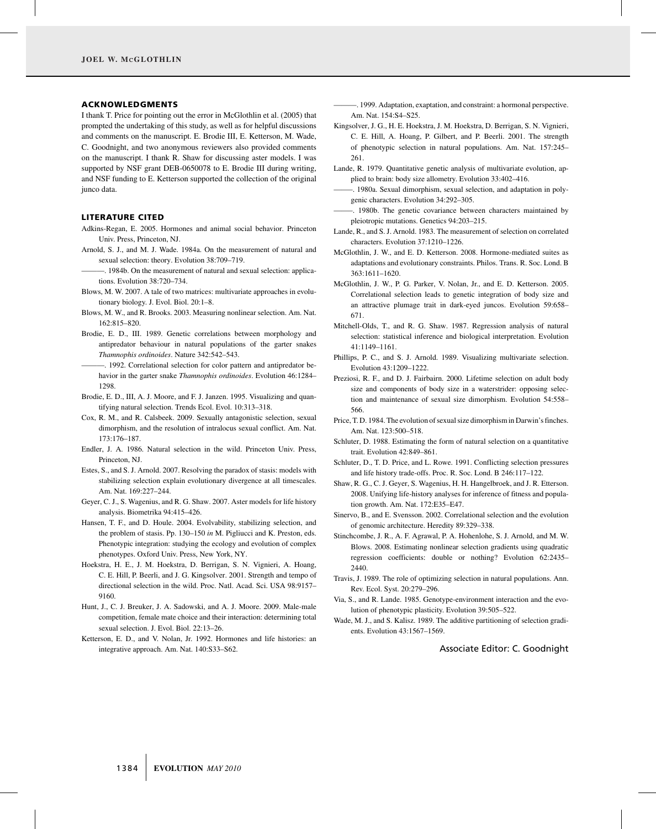#### ACKNOWLEDGMENTS

I thank T. Price for pointing out the error in McGlothlin et al. (2005) that prompted the undertaking of this study, as well as for helpful discussions and comments on the manuscript. E. Brodie III, E. Ketterson, M. Wade, C. Goodnight, and two anonymous reviewers also provided comments on the manuscript. I thank R. Shaw for discussing aster models. I was supported by NSF grant DEB-0650078 to E. Brodie III during writing, and NSF funding to E. Ketterson supported the collection of the original junco data.

#### LITERATURE CITED

- Adkins-Regan, E. 2005. Hormones and animal social behavior. Princeton Univ. Press, Princeton, NJ.
- Arnold, S. J., and M. J. Wade. 1984a. On the measurement of natural and sexual selection: theory. Evolution 38:709–719.
- -. 1984b. On the measurement of natural and sexual selection: applications. Evolution 38:720–734.
- Blows, M. W. 2007. A tale of two matrices: multivariate approaches in evolutionary biology. J. Evol. Biol. 20:1–8.
- Blows, M. W., and R. Brooks. 2003. Measuring nonlinear selection. Am. Nat. 162:815–820.
- Brodie, E. D., III. 1989. Genetic correlations between morphology and antipredator behaviour in natural populations of the garter snakes *Thamnophis ordinoides*. Nature 342:542–543.
- ———. 1992. Correlational selection for color pattern and antipredator behavior in the garter snake *Thamnophis ordinoides*. Evolution 46:1284– 1298.
- Brodie, E. D., III, A. J. Moore, and F. J. Janzen. 1995. Visualizing and quantifying natural selection. Trends Ecol. Evol. 10:313–318.
- Cox, R. M., and R. Calsbeek. 2009. Sexually antagonistic selection, sexual dimorphism, and the resolution of intralocus sexual conflict. Am. Nat. 173:176–187.
- Endler, J. A. 1986. Natural selection in the wild. Princeton Univ. Press, Princeton, NJ.
- Estes, S., and S. J. Arnold. 2007. Resolving the paradox of stasis: models with stabilizing selection explain evolutionary divergence at all timescales. Am. Nat. 169:227–244.
- Geyer, C. J., S. Wagenius, and R. G. Shaw. 2007. Aster models for life history analysis. Biometrika 94:415–426.
- Hansen, T. F., and D. Houle. 2004. Evolvability, stabilizing selection, and the problem of stasis. Pp. 130–150 *in* M. Pigliucci and K. Preston, eds. Phenotypic integration: studying the ecology and evolution of complex phenotypes. Oxford Univ. Press, New York, NY.
- Hoekstra, H. E., J. M. Hoekstra, D. Berrigan, S. N. Vignieri, A. Hoang, C. E. Hill, P. Beerli, and J. G. Kingsolver. 2001. Strength and tempo of directional selection in the wild. Proc. Natl. Acad. Sci. USA 98:9157– 9160.
- Hunt, J., C. J. Breuker, J. A. Sadowski, and A. J. Moore. 2009. Male-male competition, female mate choice and their interaction: determining total sexual selection. J. Evol. Biol. 22:13–26.
- Ketterson, E. D., and V. Nolan, Jr. 1992. Hormones and life histories: an integrative approach. Am. Nat. 140:S33–S62.

———. 1999. Adaptation, exaptation, and constraint: a hormonal perspective. Am. Nat. 154:S4–S25.

- Kingsolver, J. G., H. E. Hoekstra, J. M. Hoekstra, D. Berrigan, S. N. Vignieri, C. E. Hill, A. Hoang, P. Gilbert, and P. Beerli. 2001. The strength of phenotypic selection in natural populations. Am. Nat. 157:245– 261.
- Lande, R. 1979. Quantitative genetic analysis of multivariate evolution, applied to brain: body size allometry. Evolution 33:402–416.
- ——–. 1980a. Sexual dimorphism, sexual selection, and adaptation in polygenic characters. Evolution 34:292–305.
- ——–. 1980b. The genetic covariance between characters maintained by pleiotropic mutations. Genetics 94:203–215.
- Lande, R., and S. J. Arnold. 1983. The measurement of selection on correlated characters. Evolution 37:1210–1226.
- McGlothlin, J. W., and E. D. Ketterson. 2008. Hormone-mediated suites as adaptations and evolutionary constraints. Philos. Trans. R. Soc. Lond. B 363:1611–1620.
- McGlothlin, J. W., P. G. Parker, V. Nolan, Jr., and E. D. Ketterson. 2005. Correlational selection leads to genetic integration of body size and an attractive plumage trait in dark-eyed juncos. Evolution 59:658– 671.
- Mitchell-Olds, T., and R. G. Shaw. 1987. Regression analysis of natural selection: statistical inference and biological interpretation. Evolution 41:1149–1161.
- Phillips, P. C., and S. J. Arnold. 1989. Visualizing multivariate selection. Evolution 43:1209–1222.
- Preziosi, R. F., and D. J. Fairbairn. 2000. Lifetime selection on adult body size and components of body size in a waterstrider: opposing selection and maintenance of sexual size dimorphism. Evolution 54:558– 566.
- Price, T. D. 1984. The evolution of sexual size dimorphism in Darwin's finches. Am. Nat. 123:500–518.
- Schluter, D. 1988. Estimating the form of natural selection on a quantitative trait. Evolution 42:849–861.
- Schluter, D., T. D. Price, and L. Rowe. 1991. Conflicting selection pressures and life history trade-offs. Proc. R. Soc. Lond. B 246:117–122.
- Shaw, R. G., C. J. Geyer, S. Wagenius, H. H. Hangelbroek, and J. R. Etterson. 2008. Unifying life-history analyses for inference of fitness and population growth. Am. Nat. 172:E35–E47.
- Sinervo, B., and E. Svensson. 2002. Correlational selection and the evolution of genomic architecture. Heredity 89:329–338.
- Stinchcombe, J. R., A. F. Agrawal, P. A. Hohenlohe, S. J. Arnold, and M. W. Blows. 2008. Estimating nonlinear selection gradients using quadratic regression coefficients: double or nothing? Evolution 62:2435– 2440.
- Travis, J. 1989. The role of optimizing selection in natural populations. Ann. Rev. Ecol. Syst. 20:279–296.
- Via, S., and R. Lande. 1985. Genotype-environment interaction and the evolution of phenotypic plasticity. Evolution 39:505–522.
- Wade, M. J., and S. Kalisz. 1989. The additive partitioning of selection gradients. Evolution 43:1567–1569.

#### Associate Editor: C. Goodnight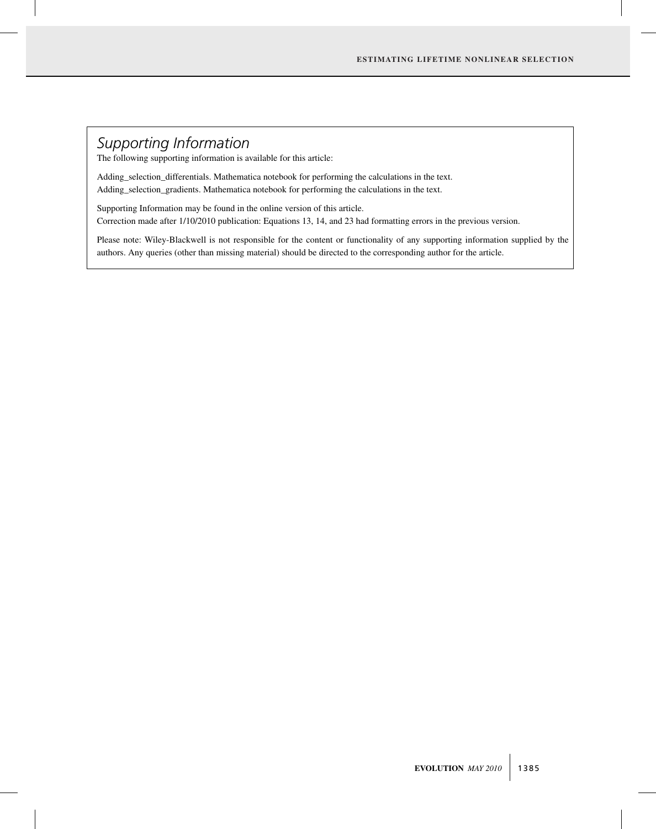## *Supporting Information*

The following supporting information is available for this article:

Adding\_selection\_differentials. Mathematica notebook for performing the calculations in the text. Adding\_selection\_gradients. Mathematica notebook for performing the calculations in the text.

Supporting Information may be found in the online version of this article. Correction made after 1/10/2010 publication: Equations 13, 14, and 23 had formatting errors in the previous version.

Please note: Wiley-Blackwell is not responsible for the content or functionality of any supporting information supplied by the authors. Any queries (other than missing material) should be directed to the corresponding author for the article.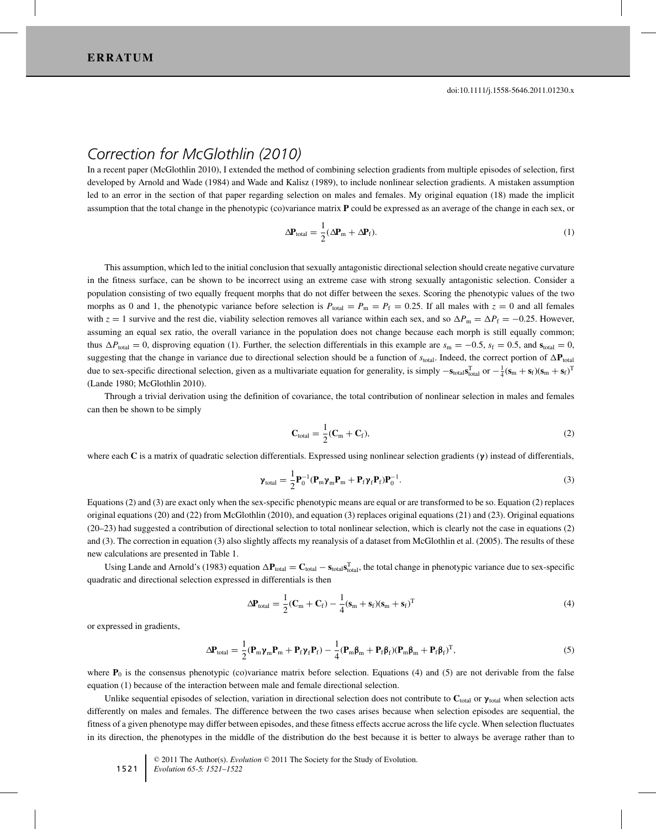### *Correction for McGlothlin (2010)*

In a recent paper (McGlothlin 2010), I extended the method of combining selection gradients from multiple episodes of selection, first developed by Arnold and Wade (1984) and Wade and Kalisz (1989), to include nonlinear selection gradients. A mistaken assumption led to an error in the section of that paper regarding selection on males and females. My original equation (18) made the implicit assumption that the total change in the phenotypic (co)variance matrix **P** could be expressed as an average of the change in each sex, or

$$
\Delta \mathbf{P}_{\text{total}} = \frac{1}{2} (\Delta \mathbf{P}_{\text{m}} + \Delta \mathbf{P}_{\text{f}}). \tag{1}
$$

This assumption, which led to the initial conclusion that sexually antagonistic directional selection should create negative curvature in the fitness surface, can be shown to be incorrect using an extreme case with strong sexually antagonistic selection. Consider a population consisting of two equally frequent morphs that do not differ between the sexes. Scoring the phenotypic values of the two morphs as 0 and 1, the phenotypic variance before selection is  $P_{\text{total}} = P_{\text{m}} = P_{\text{f}} = 0.25$ . If all males with  $z = 0$  and all females with  $z = 1$  survive and the rest die, viability selection removes all variance within each sex, and so  $\Delta P_{\text{m}} = \Delta P_{\text{f}} = -0.25$ . However, assuming an equal sex ratio, the overall variance in the population does not change because each morph is still equally common; thus  $\Delta P_{\text{total}} = 0$ , disproving equation (1). Further, the selection differentials in this example are  $s_m = -0.5$ ,  $s_f = 0.5$ , and  $s_{\text{total}} = 0$ , suggesting that the change in variance due to directional selection should be a function of  $s_{total}$ . Indeed, the correct portion of  $\Delta P_{total}$ due to sex-specific directional selection, given as a multivariate equation for generality, is simply  $-\mathbf{s}_{total}\mathbf{s}_{total}^T$  or  $-\frac{1}{4}(\mathbf{s}_{m} + \mathbf{s}_{f})(\mathbf{s}_{m} + \mathbf{s}_{f})^T$ (Lande 1980; McGlothlin 2010).

Through a trivial derivation using the definition of covariance, the total contribution of nonlinear selection in males and females can then be shown to be simply

$$
\mathbf{C}_{\text{total}} = \frac{1}{2} (\mathbf{C}_{\text{m}} + \mathbf{C}_{\text{f}}),\tag{2}
$$

where each **C** is a matrix of quadratic selection differentials. Expressed using nonlinear selection gradients (**γ**) instead of differentials,

$$
\boldsymbol{\gamma}_{\text{total}} = \frac{1}{2} \mathbf{P}_0^{-1} (\mathbf{P}_m \boldsymbol{\gamma}_m \mathbf{P}_m + \mathbf{P}_f \boldsymbol{\gamma}_f \mathbf{P}_f) \mathbf{P}_0^{-1}.
$$
\n(3)

Equations (2) and (3) are exact only when the sex-specific phenotypic means are equal or are transformed to be so. Equation (2) replaces original equations (20) and (22) from McGlothlin (2010), and equation (3) replaces original equations (21) and (23). Original equations (20–23) had suggested a contribution of directional selection to total nonlinear selection, which is clearly not the case in equations (2) and (3). The correction in equation (3) also slightly affects my reanalysis of a dataset from McGlothlin et al. (2005). The results of these new calculations are presented in Table 1.

Using Lande and Arnold's (1983) equation  $\Delta P_{\text{total}} = C_{\text{total}} - s_{\text{total}} s_{\text{total}}^T$ , the total change in phenotypic variance due to sex-specific quadratic and directional selection expressed in differentials is then

$$
\Delta \mathbf{P}_{\text{total}} = \frac{1}{2} (\mathbf{C}_{\text{m}} + \mathbf{C}_{\text{f}}) - \frac{1}{4} (\mathbf{s}_{\text{m}} + \mathbf{s}_{\text{f}}) (\mathbf{s}_{\text{m}} + \mathbf{s}_{\text{f}})^{\text{T}}
$$
(4)

or expressed in gradients,

$$
\Delta \mathbf{P}_{\text{total}} = \frac{1}{2} (\mathbf{P}_{\text{m}} \mathbf{\gamma}_{\text{m}} \mathbf{P}_{\text{m}} + \mathbf{P}_{\text{f}} \mathbf{\gamma}_{\text{f}} \mathbf{P}_{\text{f}}) - \frac{1}{4} (\mathbf{P}_{\text{m}} \boldsymbol{\beta}_{\text{m}} + \mathbf{P}_{\text{f}} \boldsymbol{\beta}_{\text{f}}) (\mathbf{P}_{\text{m}} \boldsymbol{\beta}_{\text{m}} + \mathbf{P}_{\text{f}} \boldsymbol{\beta}_{\text{f}})^{\text{T}},
$$
\n(5)

where  $P_0$  is the consensus phenotypic (co)variance matrix before selection. Equations (4) and (5) are not derivable from the false equation (1) because of the interaction between male and female directional selection.

Unlike sequential episodes of selection, variation in directional selection does not contribute to  $C_{total}$  or  $\gamma_{total}$  when selection acts differently on males and females. The difference between the two cases arises because when selection episodes are sequential, the fitness of a given phenotype may differ between episodes, and these fitness effects accrue across the life cycle. When selection fluctuates in its direction, the phenotypes in the middle of the distribution do the best because it is better to always be average rather than to